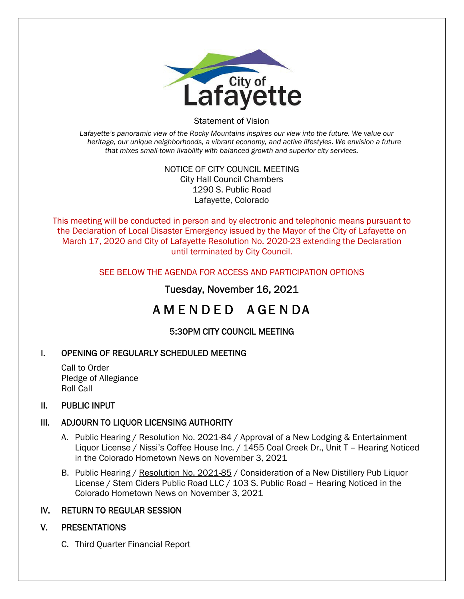

Statement of Vision

*Lafayette's panoramic view of the Rocky Mountains inspires our view into the future. We value our heritage, our unique neighborhoods, a vibrant economy, and active lifestyles. We envision a future that mixes small-town livability with balanced growth and superior city services.* 

#### NOTICE OF CITY COUNCIL MEETING City Hall Council Chambers 1290 S. Public Road Lafayette, Colorado

This meeting will be conducted in person and by electronic and telephonic means pursuant to the Declaration of Local Disaster Emergency issued by the Mayor of the City of Lafayette on March 17, 2020 and City of Lafayette Resolution No. 2020-23 extending the Declaration until terminated by City Council.

## SEE BELOW THE AGENDA FOR ACCESS AND PARTICIPATION OPTIONS

## Tuesday, November 16, 2021

# A M E N D E D A GE N DA

## 5:30PM CITY COUNCIL MEETING

## I. OPENING OF REGULARLY SCHEDULED MEETING

Call to Order Pledge of Allegiance Roll Call

#### II. PUBLIC INPUT

#### III. ADJOURN TO LIQUOR LICENSING AUTHORITY

- A. Public Hearing / Resolution No. 2021-84 / Approval of a New Lodging & Entertainment Liquor License / Nissi's Coffee House Inc. / 1455 Coal Creek Dr., Unit T – Hearing Noticed in the Colorado Hometown News on November 3, 2021
- B. Public Hearing / Resolution No. 2021-85 / Consideration of a New Distillery Pub Liquor License / Stem Ciders Public Road LLC / 103 S. Public Road – Hearing Noticed in the Colorado Hometown News on November 3, 2021

#### IV. RETURN TO REGULAR SESSION

## V. PRESENTATIONS

C. Third Quarter Financial Report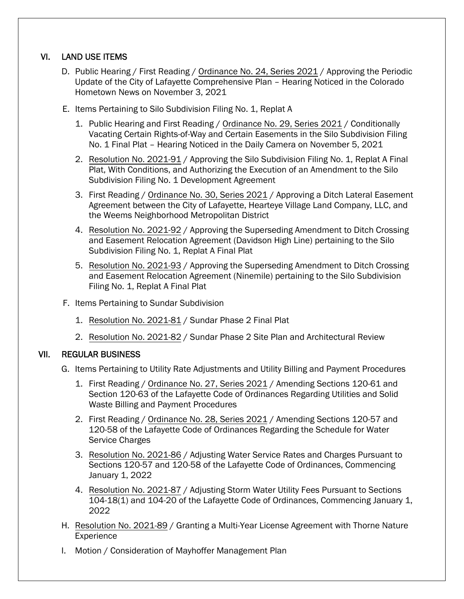## VI. LAND USE ITEMS

- D. Public Hearing / First Reading / Ordinance No. 24, Series 2021 / Approving the Periodic Update of the City of Lafayette Comprehensive Plan – Hearing Noticed in the Colorado Hometown News on November 3, 2021
- E. Items Pertaining to Silo Subdivision Filing No. 1, Replat A
	- 1. Public Hearing and First Reading / Ordinance No. 29, Series 2021 / Conditionally Vacating Certain Rights-of-Way and Certain Easements in the Silo Subdivision Filing No. 1 Final Plat – Hearing Noticed in the Daily Camera on November 5, 2021
	- 2. Resolution No. 2021-91 / Approving the Silo Subdivision Filing No. 1, Replat A Final Plat, With Conditions, and Authorizing the Execution of an Amendment to the Silo Subdivision Filing No. 1 Development Agreement
	- 3. First Reading / Ordinance No. 30, Series 2021 / Approving a Ditch Lateral Easement Agreement between the City of Lafayette, Hearteye Village Land Company, LLC, and the Weems Neighborhood Metropolitan District
	- 4. Resolution No. 2021-92 / Approving the Superseding Amendment to Ditch Crossing and Easement Relocation Agreement (Davidson High Line) pertaining to the Silo Subdivision Filing No. 1, Replat A Final Plat
	- 5. Resolution No. 2021-93 / Approving the Superseding Amendment to Ditch Crossing and Easement Relocation Agreement (Ninemile) pertaining to the Silo Subdivision Filing No. 1, Replat A Final Plat
- F. Items Pertaining to Sundar Subdivision
	- 1. Resolution No. 2021-81 / Sundar Phase 2 Final Plat
	- 2. Resolution No. 2021-82 / Sundar Phase 2 Site Plan and Architectural Review

#### VII. REGULAR BUSINESS

- G. Items Pertaining to Utility Rate Adjustments and Utility Billing and Payment Procedures
	- 1. First Reading / Ordinance No. 27, Series 2021 / Amending Sections 120-61 and Section 120-63 of the Lafayette Code of Ordinances Regarding Utilities and Solid Waste Billing and Payment Procedures
	- 2. First Reading / Ordinance No. 28, Series 2021 / Amending Sections 120-57 and 120-58 of the Lafayette Code of Ordinances Regarding the Schedule for Water Service Charges
	- 3. Resolution No. 2021-86 / Adjusting Water Service Rates and Charges Pursuant to Sections 120-57 and 120-58 of the Lafayette Code of Ordinances, Commencing January 1, 2022
	- 4. Resolution No. 2021-87 / Adjusting Storm Water Utility Fees Pursuant to Sections 104-18(1) and 104-20 of the Lafayette Code of Ordinances, Commencing January 1, 2022
- H. Resolution No. 2021-89 / Granting a Multi-Year License Agreement with Thorne Nature Experience
- I. Motion / Consideration of Mayhoffer Management Plan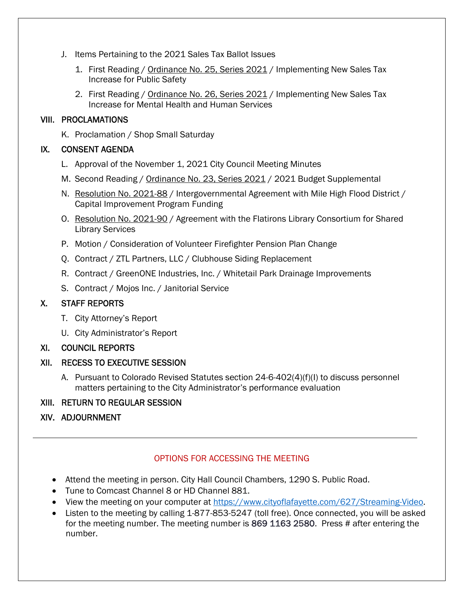- J. Items Pertaining to the 2021 Sales Tax Ballot Issues
	- 1. First Reading / Ordinance No. 25, Series 2021 / Implementing New Sales Tax Increase for Public Safety
	- 2. First Reading / Ordinance No. 26, Series 2021 / Implementing New Sales Tax Increase for Mental Health and Human Services

#### VIII. PROCLAMATIONS

K. Proclamation / Shop Small Saturday

## IX. CONSENT AGENDA

- L. Approval of the November 1, 2021 City Council Meeting Minutes
- M. Second Reading / Ordinance No. 23, Series 2021 / 2021 Budget Supplemental
- N. Resolution No. 2021-88 / Intergovernmental Agreement with Mile High Flood District / Capital Improvement Program Funding
- O. Resolution No. 2021-90 / Agreement with the Flatirons Library Consortium for Shared Library Services
- P. Motion / Consideration of Volunteer Firefighter Pension Plan Change
- Q. Contract / ZTL Partners, LLC / Clubhouse Siding Replacement
- R. Contract / GreenONE Industries, Inc. / Whitetail Park Drainage Improvements
- S. Contract / Mojos Inc. / Janitorial Service

## X. STAFF REPORTS

- T. City Attorney's Report
- U. City Administrator's Report

#### XI. COUNCIL REPORTS

## XII. RECESS TO EXECUTIVE SESSION

A. Pursuant to Colorado Revised Statutes section 24-6-402(4)(f)(I) to discuss personnel matters pertaining to the City Administrator's performance evaluation

## XIII. RETURN TO REGULAR SESSION

## XIV. ADJOURNMENT

## OPTIONS FOR ACCESSING THE MEETING

- Attend the meeting in person. City Hall Council Chambers, 1290 S. Public Road.
- Tune to Comcast Channel 8 or HD Channel 881.
- View the meeting on your computer at https://www.cityoflafayette.com/627/Streaming-Video.
- Listen to the meeting by calling 1-877-853-5247 (toll free). Once connected, you will be asked for the meeting number. The meeting number is 869 1163 2580. Press # after entering the number.